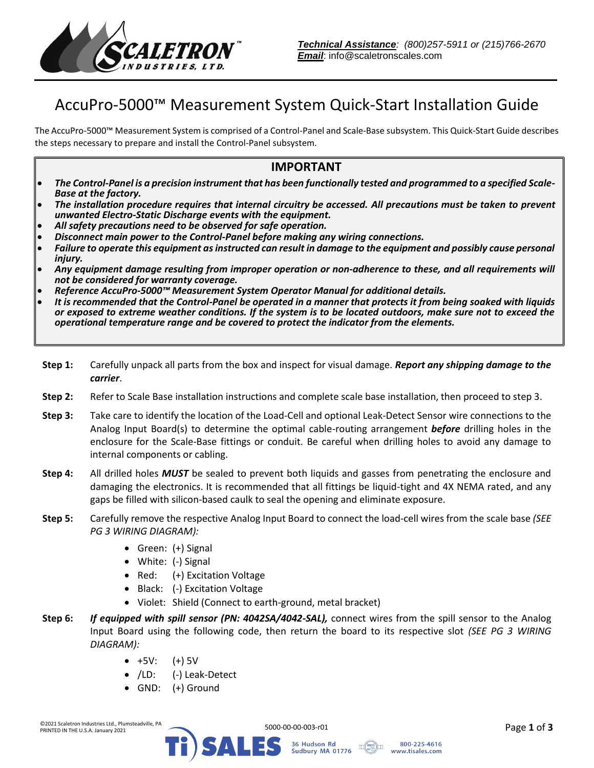

## AccuPro-5000™ Measurement System Quick-Start Installation Guide

The AccuPro-5000™ Measurement System is comprised of a Control-Panel and Scale-Base subsystem. This Quick-Start Guide describes the steps necessary to prepare and install the Control-Panel subsystem.

## **IMPORTANT**

- *The Control-Panel is a precision instrument that has been functionally tested and programmed to a specified Scale-Base at the factory.*
- *The installation procedure requires that internal circuitry be accessed. All precautions must be taken to prevent unwanted Electro-Static Discharge events with the equipment.*
- *All safety precautions need to be observed for safe operation.*
- *Disconnect main power to the Control-Panel before making any wiring connections.*
- *Failure to operate this equipment as instructed can result in damage to the equipment and possibly cause personal injury.*
- *Any equipment damage resulting from improper operation or non-adherence to these, and all requirements will not be considered for warranty coverage.*
- *Reference AccuPro-5000™ Measurement System Operator Manual for additional details.*
- *It is recommended that the Control-Panel be operated in a manner that protects it from being soaked with liquids or exposed to extreme weather conditions. If the system is to be located outdoors, make sure not to exceed the operational temperature range and be covered to protect the indicator from the elements.*
- **Step 1:** Carefully unpack all parts from the box and inspect for visual damage. *Report any shipping damage to the carrier*.
- **Step 2:** Refer to Scale Base installation instructions and complete scale base installation, then proceed to step 3.
- **Step 3:** Take care to identify the location of the Load-Cell and optional Leak-Detect Sensor wire connections to the Analog Input Board(s) to determine the optimal cable-routing arrangement *before* drilling holes in the enclosure for the Scale-Base fittings or conduit. Be careful when drilling holes to avoid any damage to internal components or cabling.
- **Step 4:** All drilled holes *MUST* be sealed to prevent both liquids and gasses from penetrating the enclosure and damaging the electronics. It is recommended that all fittings be liquid-tight and 4X NEMA rated, and any gaps be filled with silicon-based caulk to seal the opening and eliminate exposure.
- **Step 5:** Carefully remove the respective Analog Input Board to connect the load-cell wires from the scale base *(SEE PG 3 WIRING DIAGRAM):*
	- Green: (+) Signal
	- White: (-) Signal
	- Red: (+) Excitation Voltage
	- Black: (-) Excitation Voltage
	- Violet: Shield (Connect to earth-ground, metal bracket)
- **Step 6:** *If equipped with spill sensor (PN: 4042SA/4042-SAL),* connect wires from the spill sensor to the Analog Input Board using the following code, then return the board to its respective slot *(SEE PG 3 WIRING DIAGRAM):*
	- $+5V: (+) 5V$
	- /LD: (-) Leak-Detect
	- GND: (+) Ground



Sudbury MA 01776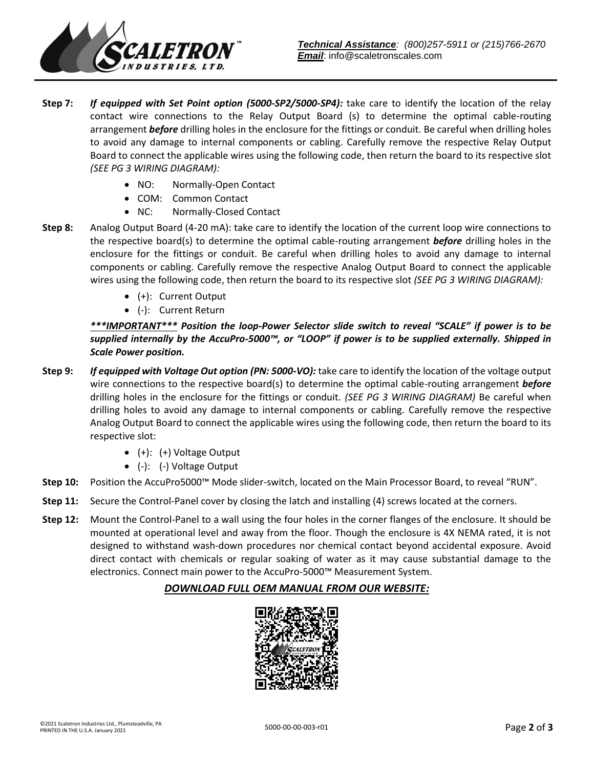

- **Step 7:** *If equipped with Set Point option (5000-SP2/5000-SP4):* take care to identify the location of the relay contact wire connections to the Relay Output Board (s) to determine the optimal cable-routing arrangement *before* drilling holes in the enclosure for the fittings or conduit. Be careful when drilling holes to avoid any damage to internal components or cabling. Carefully remove the respective Relay Output Board to connect the applicable wires using the following code, then return the board to its respective slot *(SEE PG 3 WIRING DIAGRAM):*
	- NO: Normally-Open Contact
	- COM: Common Contact
	- NC: Normally-Closed Contact
- **Step 8:** Analog Output Board (4-20 mA): take care to identify the location of the current loop wire connections to the respective board(s) to determine the optimal cable-routing arrangement *before* drilling holes in the enclosure for the fittings or conduit. Be careful when drilling holes to avoid any damage to internal components or cabling. Carefully remove the respective Analog Output Board to connect the applicable wires using the following code, then return the board to its respective slot *(SEE PG 3 WIRING DIAGRAM):*
	- (+): Current Output
	- (-): Current Return

*\*\*\*IMPORTANT\*\*\* Position the loop-Power Selector slide switch to reveal "SCALE" if power is to be supplied internally by the AccuPro-5000™, or "LOOP" if power is to be supplied externally. Shipped in Scale Power position.*

- **Step 9:** *If equipped with Voltage Out option (PN: 5000-VO):* take care to identify the location of the voltage output wire connections to the respective board(s) to determine the optimal cable-routing arrangement *before* drilling holes in the enclosure for the fittings or conduit. *(SEE PG 3 WIRING DIAGRAM)* Be careful when drilling holes to avoid any damage to internal components or cabling. Carefully remove the respective Analog Output Board to connect the applicable wires using the following code, then return the board to its respective slot:
	- (+): (+) Voltage Output
	- (-): (-) Voltage Output
- **Step 10:** Position the AccuPro5000™ Mode slider-switch, located on the Main Processor Board, to reveal "RUN".
- **Step 11:** Secure the Control-Panel cover by closing the latch and installing (4) screws located at the corners.
- **Step 12:** Mount the Control-Panel to a wall using the four holes in the corner flanges of the enclosure. It should be mounted at operational level and away from the floor. Though the enclosure is 4X NEMA rated, it is not designed to withstand wash-down procedures nor chemical contact beyond accidental exposure. Avoid direct contact with chemicals or regular soaking of water as it may cause substantial damage to the electronics. Connect main power to the AccuPro-5000™ Measurement System.

## *DOWNLOAD FULL OEM MANUAL FROM OUR WEBSITE:*